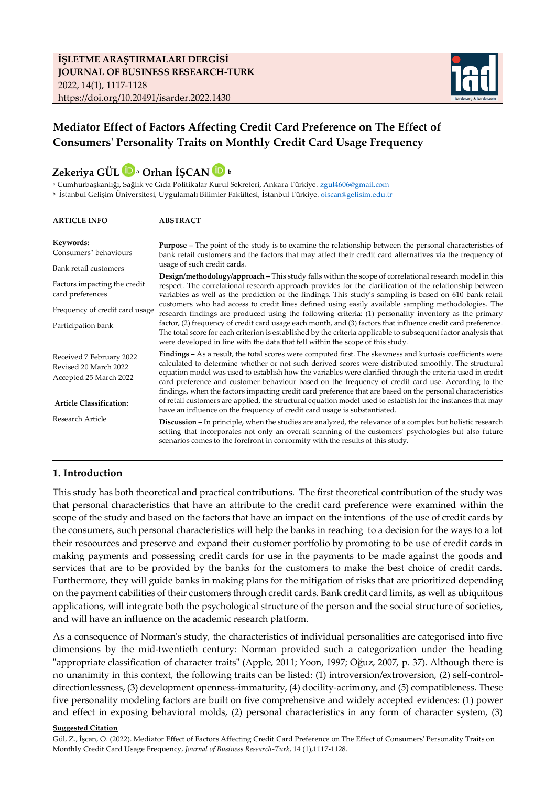

## **Mediator Effect of Factors Affecting Credit Card Preference on The Effect of Consumers' Personality Traits on Monthly Credit Card Usage Frequency**

# **Zekeriya GÜLa Orhan İŞCAN<sup>b</sup>**

<sup>a</sup> Cumhurbaşkanlığı, Sağlık ve Gıda Politikalar Kurul Sekreteri, Ankara Türkiye. zgul4606@gmail.com <sup>b</sup> İstanbul Gelişim Üniversitesi, Uygulamalı Bilimler Fakültesi, İstanbul Türkiye. [oiscan@gelisim.edu.tr](mailto:oiscan@gelisim.edu.tr)

| <b>ARTICLE INFO</b>                                                                                           | <b>ABSTRACT</b>                                                                                                                                                                                                                                                                                                                                                                                                                                                                                                                                                                                                                                                                                                                                                                                                                                                           |
|---------------------------------------------------------------------------------------------------------------|---------------------------------------------------------------------------------------------------------------------------------------------------------------------------------------------------------------------------------------------------------------------------------------------------------------------------------------------------------------------------------------------------------------------------------------------------------------------------------------------------------------------------------------------------------------------------------------------------------------------------------------------------------------------------------------------------------------------------------------------------------------------------------------------------------------------------------------------------------------------------|
| Keywords:<br>Consumers" behaviours<br>Bank retail customers                                                   | <b>Purpose</b> – The point of the study is to examine the relationship between the personal characteristics of<br>bank retail customers and the factors that may affect their credit card alternatives via the frequency of<br>usage of such credit cards.                                                                                                                                                                                                                                                                                                                                                                                                                                                                                                                                                                                                                |
| Factors impacting the credit<br>card preferences<br>Frequency of credit card usage<br>Participation bank      | <b>Design/methodology/approach</b> – This study falls within the scope of correlational research model in this<br>respect. The correlational research approach provides for the clarification of the relationship between<br>variables as well as the prediction of the findings. This study's sampling is based on 610 bank retail<br>customers who had access to credit lines defined using easily available sampling methodologies. The<br>research findings are produced using the following criteria: (1) personality inventory as the primary<br>factor, (2) frequency of credit card usage each month, and (3) factors that influence credit card preference.<br>The total score for each criterion is established by the criteria applicable to subsequent factor analysis that<br>were developed in line with the data that fell within the scope of this study. |
| Received 7 February 2022<br>Revised 20 March 2022<br>Accepted 25 March 2022<br><b>Article Classification:</b> | Findings - As a result, the total scores were computed first. The skewness and kurtosis coefficients were<br>calculated to determine whether or not such derived scores were distributed smoothly. The structural<br>equation model was used to establish how the variables were clarified through the criteria used in credit<br>card preference and customer behaviour based on the frequency of credit card use. According to the<br>findings, when the factors impacting credit card preference that are based on the personal characteristics<br>of retail customers are applied, the structural equation model used to establish for the instances that may<br>have an influence on the frequency of credit card usage is substantiated.                                                                                                                            |
| Research Article                                                                                              | <b>Discussion</b> – In principle, when the studies are analyzed, the relevance of a complex but holistic research<br>setting that incorporates not only an overall scanning of the customers' psychologies but also future<br>scenarios comes to the forefront in conformity with the results of this study.                                                                                                                                                                                                                                                                                                                                                                                                                                                                                                                                                              |

### **1. Introduction**

This study has both theoretical and practical contributions. The first theoretical contribution of the study was that personal characteristics that have an attribute to the credit card preference were examined within the scope of the study and based on the factors that have an impact on the intentions of the use of credit cards by the consumers, such personal characteristics will help the banks in reaching to a decision for the ways to a lot their resoources and preserve and expand their customer portfolio by promoting to be use of credit cards in making payments and possessing credit cards for use in the payments to be made against the goods and services that are to be provided by the banks for the customers to make the best choice of credit cards. Furthermore, they will guide banks in making plans for the mitigation of risks that are prioritized depending on the payment cabilities of their customers through credit cards. Bank credit card limits, as well as ubiquitous applications, will integrate both the psychological structure of the person and the social structure of societies, and will have an influence on the academic research platform.

As a consequence of Norman's study, the characteristics of individual personalities are categorised into five dimensions by the mid-twentieth century: Norman provided such a categorization under the heading "appropriate classification of character traits" (Apple, 2011; Yoon, 1997; Oğuz, 2007, p. 37). Although there is no unanimity in this context, the following traits can be listed: (1) introversion/extroversion, (2) self-controldirectionlessness, (3) development openness-immaturity, (4) docility-acrimony, and (5) compatibleness. These five personality modeling factors are built on five comprehensive and widely accepted evidences: (1) power and effect in exposing behavioral molds, (2) personal characteristics in any form of character system, (3)

#### **Suggested Citation**

Gül, Z., İşcan, O. (2022). Mediator Effect of Factors Affecting Credit Card Preference on The Effect of Consumers' Personality Traits on Monthly Credit Card Usage Frequency, *Journal of Business Research-Turk*, 14 (1),1117-1128.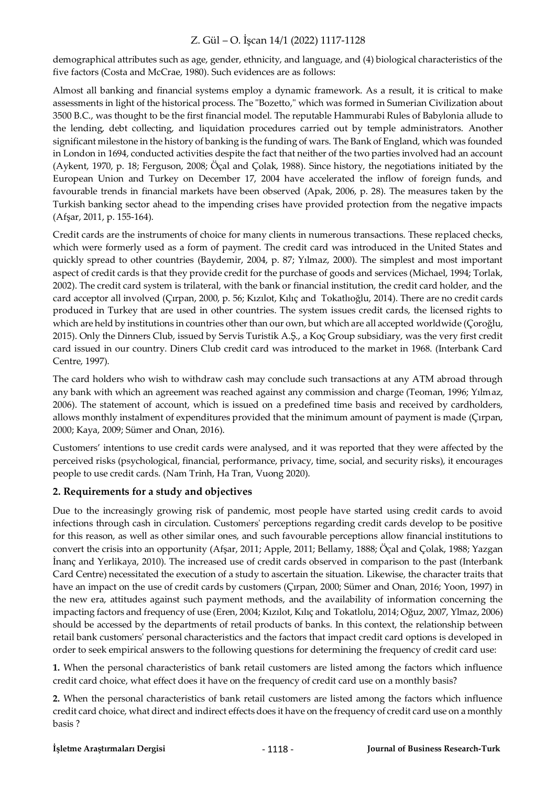demographical attributes such as age, gender, ethnicity, and language, and (4) biological characteristics of the five factors (Costa and McCrae, 1980). Such evidences are as follows:

Almost all banking and financial systems employ a dynamic framework. As a result, it is critical to make assessments in light of the historical process. The "Bozetto," which was formed in Sumerian Civilization about 3500 B.C., was thought to be the first financial model. The reputable Hammurabi Rules of Babylonia allude to the lending, debt collecting, and liquidation procedures carried out by temple administrators. Another significant milestone in the history of banking is the funding of wars. The Bank of England, which was founded in London in 1694, conducted activities despite the fact that neither of the two parties involved had an account (Aykent, 1970, p. 18; Ferguson, 2008; Öçal and Çolak, 1988). Since history, the negotiations initiated by the European Union and Turkey on December 17, 2004 have accelerated the inflow of foreign funds, and favourable trends in financial markets have been observed (Apak, 2006, p. 28). The measures taken by the Turkish banking sector ahead to the impending crises have provided protection from the negative impacts (Afşar, 2011, p. 155-164).

Credit cards are the instruments of choice for many clients in numerous transactions. These replaced checks, which were formerly used as a form of payment. The credit card was introduced in the United States and quickly spread to other countries (Baydemir, 2004, p. 87; Yılmaz, 2000). The simplest and most important aspect of credit cards is that they provide credit for the purchase of goods and services (Michael, 1994; Torlak, 2002). The credit card system is trilateral, with the bank or financial institution, the credit card holder, and the card acceptor all involved (Çırpan, 2000, p. 56; Kızılot, Kılıç and Tokatlıoğlu, 2014). There are no credit cards produced in Turkey that are used in other countries. The system issues credit cards, the licensed rights to which are held by institutions in countries other than our own, but which are all accepted worldwide (Çoroğlu, 2015). Only the Dinners Club, issued by Servis Turistik A.Ş., a Koç Group subsidiary, was the very first credit card issued in our country. Diners Club credit card was introduced to the market in 1968. (Interbank Card Centre, 1997).

The card holders who wish to withdraw cash may conclude such transactions at any ATM abroad through any bank with which an agreement was reached against any commission and charge (Teoman, 1996; Yılmaz, 2006). The statement of account, which is issued on a predefined time basis and received by cardholders, allows monthly instalment of expenditures provided that the minimum amount of payment is made (Çırpan, 2000; Kaya, 2009; Sümer and Onan, 2016).

Customers' intentions to use credit cards were analysed, and it was reported that they were affected by the perceived risks (psychological, financial, performance, privacy, time, social, and security risks), it encourages people to use credit cards. (Nam Trinh, Ha Tran, Vuong 2020).

### **2. Requirements for a study and objectives**

Due to the increasingly growing risk of pandemic, most people have started using credit cards to avoid infections through cash in circulation. Customers' perceptions regarding credit cards develop to be positive for this reason, as well as other similar ones, and such favourable perceptions allow financial institutions to convert the crisis into an opportunity (Afşar, 2011; Apple, 2011; Bellamy, 1888; Öçal and Çolak, 1988; Yazgan İnanç and Yerlikaya, 2010). The increased use of credit cards observed in comparison to the past (Interbank Card Centre) necessitated the execution of a study to ascertain the situation. Likewise, the character traits that have an impact on the use of credit cards by customers (Çırpan, 2000; Sümer and Onan, 2016; Yoon, 1997) in the new era, attitudes against such payment methods, and the availability of information concerning the impacting factors and frequency of use (Eren, 2004; Kızılot, Kılıç and Tokatlolu, 2014; Oğuz, 2007, Ylmaz, 2006) should be accessed by the departments of retail products of banks. In this context, the relationship between retail bank customers' personal characteristics and the factors that impact credit card options is developed in order to seek empirical answers to the following questions for determining the frequency of credit card use:

**1.** When the personal characteristics of bank retail customers are listed among the factors which influence credit card choice, what effect does it have on the frequency of credit card use on a monthly basis?

**2.** When the personal characteristics of bank retail customers are listed among the factors which influence credit card choice, what direct and indirect effects does it have on the frequency of credit card use on a monthly basis ?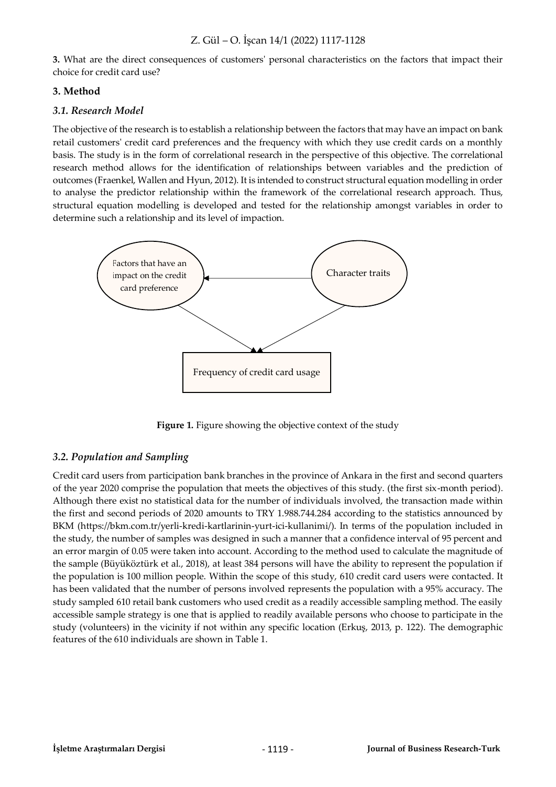**3.** What are the direct consequences of customers' personal characteristics on the factors that impact their choice for credit card use?

### **3. Method**

### *3.1. Research Model*

The objective of the research is to establish a relationship between the factors that may have an impact on bank retail customers' credit card preferences and the frequency with which they use credit cards on a monthly basis. The study is in the form of correlational research in the perspective of this objective. The correlational research method allows for the identification of relationships between variables and the prediction of outcomes (Fraenkel, Wallen and Hyun, 2012). It is intended to construct structural equation modelling in order to analyse the predictor relationship within the framework of the correlational research approach. Thus, structural equation modelling is developed and tested for the relationship amongst variables in order to determine such a relationship and its level of impaction.



**Figure 1.** Figure showing the objective context of the study

### *3.2. Population and Sampling*

Credit card users from participation bank branches in the province of Ankara in the first and second quarters of the year 2020 comprise the population that meets the objectives of this study. (the first six-month period). Although there exist no statistical data for the number of individuals involved, the transaction made within the first and second periods of 2020 amounts to TRY 1.988.744.284 according to the statistics announced by BKM [\(https://bkm.com.tr/yerli-kredi-kartlarinin-yurt-ici-kullanimi/\)](https://bkm.com.tr/yerli-kredi-kartlarinin-yurt-ici-kullanimi/). In terms of the population included in the study, the number of samples was designed in such a manner that a confidence interval of 95 percent and an error margin of 0.05 were taken into account. According to the method used to calculate the magnitude of the sample (Büyüköztürk et al., 2018), at least 384 persons will have the ability to represent the population if the population is 100 million people. Within the scope of this study, 610 credit card users were contacted. It has been validated that the number of persons involved represents the population with a 95% accuracy. The study sampled 610 retail bank customers who used credit as a readily accessible sampling method. The easily accessible sample strategy is one that is applied to readily available persons who choose to participate in the study (volunteers) in the vicinity if not within any specific location (Erkuş, 2013, p. 122). The demographic features of the 610 individuals are shown in Table 1.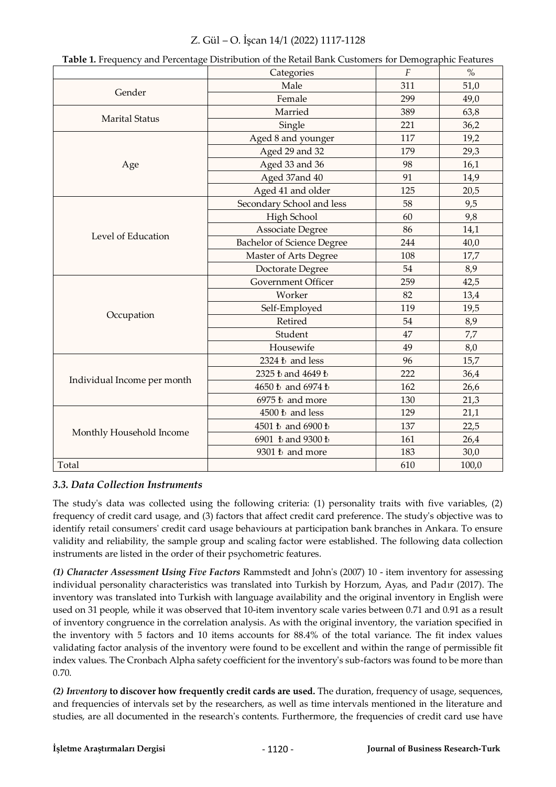|                             | <b>Table 1.</b> Prequency and Ferrentage Distribution of the Ketali Dank Customers for Demographic Features<br>Categories | $\boldsymbol{F}$ | $\%$  |
|-----------------------------|---------------------------------------------------------------------------------------------------------------------------|------------------|-------|
|                             | Male                                                                                                                      | 311              | 51,0  |
| Gender                      | Female                                                                                                                    | 299              | 49,0  |
|                             | Married                                                                                                                   | 389              | 63,8  |
| <b>Marital Status</b>       | Single                                                                                                                    | 221              | 36,2  |
|                             | Aged 8 and younger                                                                                                        | 117              | 19,2  |
|                             | Aged 29 and 32                                                                                                            | 179              | 29,3  |
| Age                         | Aged 33 and 36                                                                                                            | 98               | 16,1  |
|                             | Aged 37and 40                                                                                                             | 91               | 14,9  |
|                             | Aged 41 and older                                                                                                         | 125              | 20,5  |
|                             | Secondary School and less                                                                                                 | 58               | 9,5   |
|                             | High School                                                                                                               | 60               | 9,8   |
| Level of Education          | <b>Associate Degree</b>                                                                                                   | 86               | 14,1  |
|                             | <b>Bachelor of Science Degree</b>                                                                                         | 244              | 40,0  |
|                             | Master of Arts Degree                                                                                                     | 108              | 17,7  |
|                             | Doctorate Degree                                                                                                          | 54               | 8,9   |
|                             | <b>Government Officer</b>                                                                                                 | 259              | 42,5  |
|                             | Worker                                                                                                                    | 82               | 13,4  |
|                             | Self-Employed                                                                                                             | 119              | 19,5  |
| Occupation                  | Retired                                                                                                                   | 54               | 8,9   |
|                             | Student                                                                                                                   | 47               | 7,7   |
|                             | Housewife                                                                                                                 | 49               | 8,0   |
|                             | 2324 ₺ and less                                                                                                           | 96               | 15,7  |
|                             | 2325 ₺ and 4649 ₺                                                                                                         | 222              | 36,4  |
| Individual Income per month | 4650 ₺ and 6974 ₺                                                                                                         | 162              | 26,6  |
|                             | 6975 ₺ and more                                                                                                           | 130              | 21,3  |
|                             | $4500\ \mathrm{t}$ and less                                                                                               | 129              | 21,1  |
| Monthly Household Income    | 4501 ₺ and 6900 ₺                                                                                                         | 137              | 22,5  |
|                             | 6901 ₺ and 9300 ₺                                                                                                         | 161              | 26,4  |
|                             | 9301 ₺ and more                                                                                                           | 183              | 30,0  |
| Total                       |                                                                                                                           | 610              | 100,0 |

#### **Table 1.** Frequency and Percentage Distribution of the Retail Bank Customers for Demographic Features

### *3.3. Data Collection Instruments*

The study's data was collected using the following criteria: (1) personality traits with five variables, (2) frequency of credit card usage, and (3) factors that affect credit card preference. The study's objective was to identify retail consumers' credit card usage behaviours at participation bank branches in Ankara. To ensure validity and reliability, the sample group and scaling factor were established. The following data collection instruments are listed in the order of their psychometric features.

*(1) Character Assessment Using Five Factors* Rammstedt and John's (2007) 10 - item inventory for assessing individual personality characteristics was translated into Turkish by Horzum, Ayas, and Padır (2017). The inventory was translated into Turkish with language availability and the original inventory in English were used on 31 people, while it was observed that 10-item inventory scale varies between 0.71 and 0.91 as a result of inventory congruence in the correlation analysis. As with the original inventory, the variation specified in the inventory with 5 factors and 10 items accounts for 88.4% of the total variance. The fit index values validating factor analysis of the inventory were found to be excellent and within the range of permissible fit index values. The Cronbach Alpha safety coefficient for the inventory's sub-factors was found to be more than 0.70.

*(2) Inventory* **to discover how frequently credit cards are used.** The duration, frequency of usage, sequences, and frequencies of intervals set by the researchers, as well as time intervals mentioned in the literature and studies, are all documented in the research's contents. Furthermore, the frequencies of credit card use have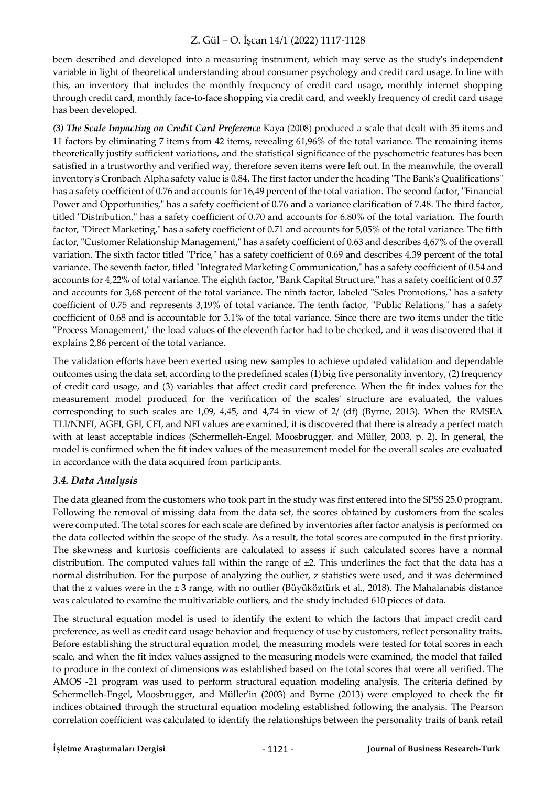been described and developed into a measuring instrument, which may serve as the study's independent variable in light of theoretical understanding about consumer psychology and credit card usage. In line with this, an inventory that includes the monthly frequency of credit card usage, monthly internet shopping through credit card, monthly face-to-face shopping via credit card, and weekly frequency of credit card usage has been developed.

*(3) The Scale Impacting on Credit Card Preference* Kaya (2008) produced a scale that dealt with 35 items and 11 factors by eliminating 7 items from 42 items, revealing 61,96% of the total variance. The remaining items theoretically justify sufficient variations, and the statistical significance of the pyschometric features has been satisfied in a trustworthy and verified way, therefore seven items were left out. In the meanwhile, the overall inventory's Cronbach Alpha safety value is 0.84. The first factor under the heading "The Bank's Qualifications" has a safety coefficient of 0.76 and accounts for 16,49 percent of the total variation. The second factor, "Financial Power and Opportunities," has a safety coefficient of 0.76 and a variance clarification of 7.48. The third factor, titled "Distribution," has a safety coefficient of 0.70 and accounts for 6.80% of the total variation. The fourth factor, "Direct Marketing," has a safety coefficient of 0.71 and accounts for 5,05% of the total variance. The fifth factor, "Customer Relationship Management," has a safety coefficient of 0.63 and describes 4,67% of the overall variation. The sixth factor titled "Price," has a safety coefficient of 0.69 and describes 4,39 percent of the total variance. The seventh factor, titled "Integrated Marketing Communication," has a safety coefficient of 0.54 and accounts for 4,22% of total variance. The eighth factor, "Bank Capital Structure," has a safety coefficient of 0.57 and accounts for 3,68 percent of the total variance. The ninth factor, labeled "Sales Promotions," has a safety coefficient of 0.75 and represents 3,19% of total variance. The tenth factor, "Public Relations," has a safety coefficient of 0.68 and is accountable for 3.1% of the total variance. Since there are two items under the title "Process Management," the load values of the eleventh factor had to be checked, and it was discovered that it explains 2,86 percent of the total variance.

The validation efforts have been exerted using new samples to achieve updated validation and dependable outcomes using the data set, according to the predefined scales (1) big five personality inventory, (2) frequency of credit card usage, and (3) variables that affect credit card preference. When the fit index values for the measurement model produced for the verification of the scales' structure are evaluated, the values corresponding to such scales are 1,09, 4,45, and 4,74 in view of 2/ (df) (Byrne, 2013). When the RMSEA TLI/NNFI, AGFI, GFI, CFI, and NFI values are examined, it is discovered that there is already a perfect match with at least acceptable indices (Schermelleh-Engel, Moosbrugger, and Müller, 2003, p. 2). In general, the model is confirmed when the fit index values of the measurement model for the overall scales are evaluated in accordance with the data acquired from participants.

### *3.4. Data Analysis*

The data gleaned from the customers who took part in the study was first entered into the SPSS 25.0 program. Following the removal of missing data from the data set, the scores obtained by customers from the scales were computed. The total scores for each scale are defined by inventories after factor analysis is performed on the data collected within the scope of the study. As a result, the total scores are computed in the first priority. The skewness and kurtosis coefficients are calculated to assess if such calculated scores have a normal distribution. The computed values fall within the range of  $\pm 2$ . This underlines the fact that the data has a normal distribution. For the purpose of analyzing the outlier, z statistics were used, and it was determined that the z values were in the ± 3 range, with no outlier (Büyüköztürk et al., 2018). The Mahalanabis distance was calculated to examine the multivariable outliers, and the study included 610 pieces of data.

The structural equation model is used to identify the extent to which the factors that impact credit card preference, as well as credit card usage behavior and frequency of use by customers, reflect personality traits. Before establishing the structural equation model, the measuring models were tested for total scores in each scale, and when the fit index values assigned to the measuring models were examined, the model that failed to produce in the context of dimensions was established based on the total scores that were all verified. The AMOS -21 program was used to perform structural equation modeling analysis. The criteria defined by Schermelleh-Engel, Moosbrugger, and Müller'in (2003) and Byrne (2013) were employed to check the fit indices obtained through the structural equation modeling established following the analysis. The Pearson correlation coefficient was calculated to identify the relationships between the personality traits of bank retail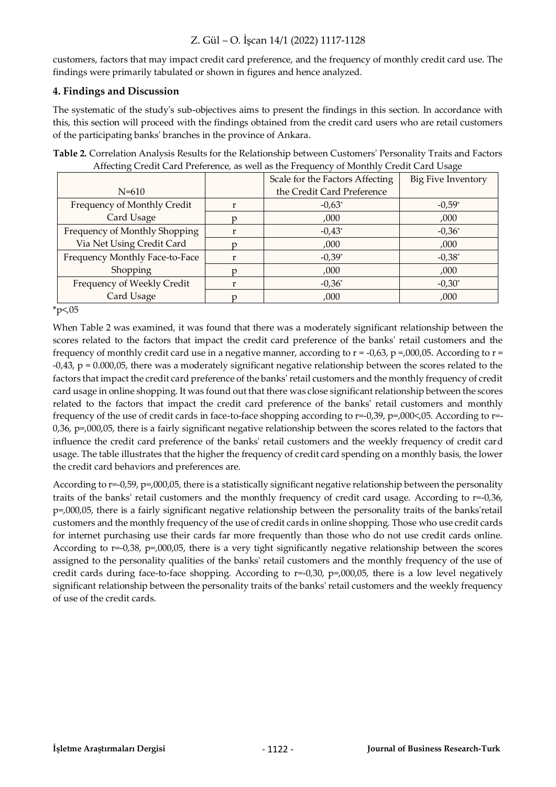customers, factors that may impact credit card preference, and the frequency of monthly credit card use. The findings were primarily tabulated or shown in figures and hence analyzed.

### **4. Findings and Discussion**

The systematic of the study's sub-objectives aims to present the findings in this section. In accordance with this, this section will proceed with the findings obtained from the credit card users who are retail customers of the participating banks' branches in the province of Ankara.

**Table 2.** Correlation Analysis Results for the Relationship between Customers' Personality Traits and Factors Affecting Credit Card Preference, as well as the Frequency of Monthly Credit Card Usage

|                                | Scale for the Factors Affecting | Big Five Inventory |  |
|--------------------------------|---------------------------------|--------------------|--|
| $N = 610$                      | the Credit Card Preference      |                    |  |
| Frequency of Monthly Credit    | $-0.63^*$                       | $-0.59*$           |  |
| Card Usage                     | ,000                            | ,000               |  |
| Frequency of Monthly Shopping  | $-0.43*$                        | $-0,36^*$          |  |
| Via Net Using Credit Card      | ,000                            | ,000               |  |
| Frequency Monthly Face-to-Face | $-0,39*$                        | $-0,38^*$          |  |
| Shopping                       | ,000                            | ,000               |  |
| Frequency of Weekly Credit     | $-0,36^*$                       | $-0,30^*$          |  |
| Card Usage                     | ,000                            | ,000               |  |

 $*p<0.05$ 

When Table 2 was examined, it was found that there was a moderately significant relationship between the scores related to the factors that impact the credit card preference of the banks' retail customers and the frequency of monthly credit card use in a negative manner, according to  $r = -0.63$ ,  $p = 0.00005$ . According to  $r =$ -0,43, p = 0.000,05, there was a moderately significant negative relationship between the scores related to the factors that impact the credit card preference of the banks' retail customers and the monthly frequency of credit card usage in online shopping. It was found out that there was close significant relationship between the scores related to the factors that impact the credit card preference of the banks' retail customers and monthly frequency of the use of credit cards in face-to-face shopping according to r=-0,39, p=,000<,05. According to r=- 0,36, p=,000,05, there is a fairly significant negative relationship between the scores related to the factors that influence the credit card preference of the banks' retail customers and the weekly frequency of credit card usage. The table illustrates that the higher the frequency of credit card spending on a monthly basis, the lower the credit card behaviors and preferences are.

According to r=-0,59, p=,000,05, there is a statistically significant negative relationship between the personality traits of the banks' retail customers and the monthly frequency of credit card usage. According to r=-0,36, p=,000,05, there is a fairly significant negative relationship between the personality traits of the banks'retail customers and the monthly frequency of the use of credit cards in online shopping. Those who use credit cards for internet purchasing use their cards far more frequently than those who do not use credit cards online. According to r=-0,38, p=,000,05, there is a very tight significantly negative relationship between the scores assigned to the personality qualities of the banks' retail customers and the monthly frequency of the use of credit cards during face-to-face shopping. According to  $r=-0.30$ ,  $p=0.000,05$ , there is a low level negatively significant relationship between the personality traits of the banks' retail customers and the weekly frequency of use of the credit cards.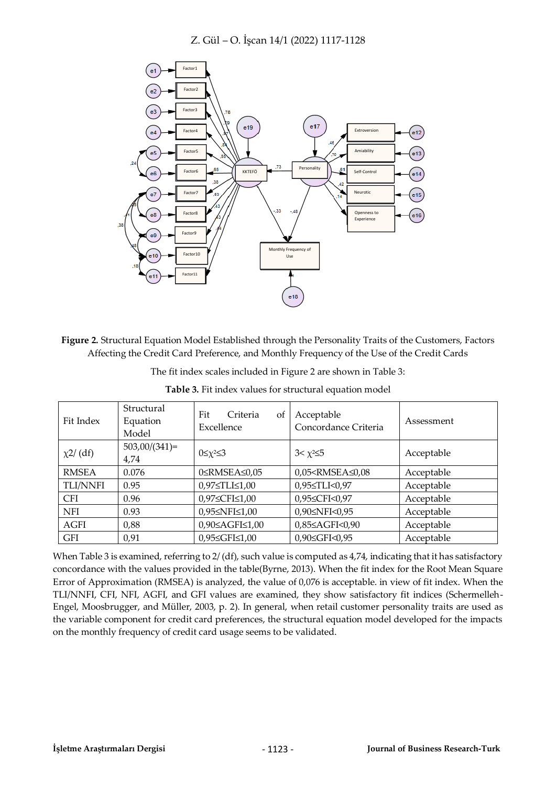

**Figure 2.** Structural Equation Model Established through the Personality Traits of the Customers, Factors Affecting the Credit Card Preference, and Monthly Frequency of the Use of the Credit Cards

| The fit index scales included in Figure 2 are shown in Table 3: |  |
|-----------------------------------------------------------------|--|
|-----------------------------------------------------------------|--|

| Fit Index       | Structural<br>Equation<br>Model | Fit<br>Criteria<br><sub>of</sub><br>Excellence | Acceptable<br>Concordance Criteria                        | Assessment |
|-----------------|---------------------------------|------------------------------------------------|-----------------------------------------------------------|------------|
| $\chi$ 2/(df)   | $503,00/(341)=$<br>4,74         | $0 \leq \chi^2 \leq 3$                         | $3 < \chi^2 \leq 5$                                       | Acceptable |
| <b>RMSEA</b>    | 0.076                           | 0≤RMSEA≤0,05                                   | 0,05 <rmsea≤0,08< td=""><td>Acceptable</td></rmsea≤0,08<> | Acceptable |
| <b>TLI/NNFI</b> | 0.95                            | $0.97 \leq TLL \leq 1.00$                      | 0,95≤TLI<0,97                                             | Acceptable |
| <b>CFI</b>      | 0.96                            | 0,97≤CFI≤1,00                                  | 0,95≤CFI<0,97                                             | Acceptable |
| <b>NFI</b>      | 0.93                            | 0,95≤NFI≤1,00                                  | 0,90≤NFI<0,95                                             | Acceptable |
| AGFI            | 0,88                            | 0,90≤AGFI≤1,00                                 | 0,85≤AGFI<0,90                                            | Acceptable |
| <b>GFI</b>      | 0,91                            | 0,95≤GFI≤1,00                                  | 0,90≤GFI<0,95                                             | Acceptable |

**Table 3.** Fit index values for structural equation model

When Table 3 is examined, referring to 2/ (df), such value is computed as 4,74, indicating that it has satisfactory concordance with the values provided in the table(Byrne, 2013). When the fit index for the Root Mean Square Error of Approximation (RMSEA) is analyzed, the value of 0,076 is acceptable. in view of fit index. When the TLI/NNFI, CFI, NFI, AGFI, and GFI values are examined, they show satisfactory fit indices (Schermelleh-Engel, Moosbrugger, and Müller, 2003, p. 2). In general, when retail customer personality traits are used as the variable component for credit card preferences, the structural equation model developed for the impacts on the monthly frequency of credit card usage seems to be validated.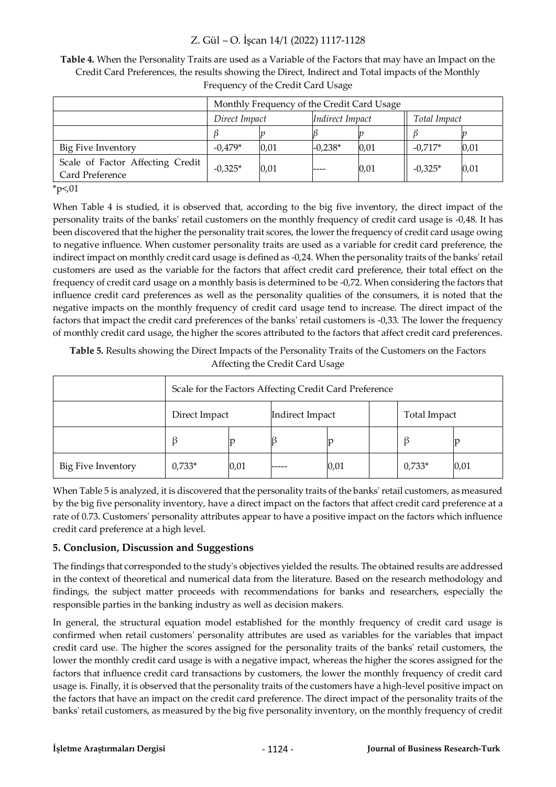**Table 4.** When the Personality Traits are used as a Variable of the Factors that may have an Impact on the Credit Card Preferences, the results showing the Direct, Indirect and Total impacts of the Monthly Frequency of the Credit Card Usage

|                                                     | Monthly Frequency of the Credit Card Usage |      |                 |      |              |      |
|-----------------------------------------------------|--------------------------------------------|------|-----------------|------|--------------|------|
|                                                     | Direct Impact                              |      | Indirect Impact |      | Total Impact |      |
|                                                     |                                            |      |                 |      |              |      |
| Big Five Inventory                                  | $-0.479*$                                  | 0,01 | $-0.238*$       | 0,01 | $-0.717*$    | 0,01 |
| Scale of Factor Affecting Credit<br>Card Preference | $-0.325*$                                  | 0,01 |                 | 0,01 | $-0,325*$    | 0,01 |

 $*_{p<,01}$ 

When Table 4 is studied, it is observed that, according to the big five inventory, the direct impact of the personality traits of the banks' retail customers on the monthly frequency of credit card usage is -0,48. It has been discovered that the higher the personality trait scores, the lower the frequency of credit card usage owing to negative influence. When customer personality traits are used as a variable for credit card preference, the indirect impact on monthly credit card usage is defined as -0,24. When the personality traits of the banks' retail customers are used as the variable for the factors that affect credit card preference, their total effect on the frequency of credit card usage on a monthly basis is determined to be -0,72. When considering the factors that influence credit card preferences as well as the personality qualities of the consumers, it is noted that the negative impacts on the monthly frequency of credit card usage tend to increase. The direct impact of the factors that impact the credit card preferences of the banks' retail customers is -0,33. The lower the frequency of monthly credit card usage, the higher the scores attributed to the factors that affect credit card preferences.

**Table 5.** Results showing the Direct Impacts of the Personality Traits of the Customers on the Factors Affecting the Credit Card Usage

|                    | Scale for the Factors Affecting Credit Card Preference |      |                 |      |  |              |      |
|--------------------|--------------------------------------------------------|------|-----------------|------|--|--------------|------|
|                    | Direct Impact                                          |      | Indirect Impact |      |  | Total Impact |      |
|                    |                                                        |      |                 |      |  |              |      |
| Big Five Inventory | $0,733*$                                               | 0,01 |                 | 0,01 |  | $0,733*$     | 0,01 |

When Table 5 is analyzed, it is discovered that the personality traits of the banks' retail customers, as measured by the big five personality inventory, have a direct impact on the factors that affect credit card preference at a rate of 0.73. Customers' personality attributes appear to have a positive impact on the factors which influence credit card preference at a high level.

### **5. Conclusion, Discussion and Suggestions**

The findings that corresponded to the study's objectives yielded the results. The obtained results are addressed in the context of theoretical and numerical data from the literature. Based on the research methodology and findings, the subject matter proceeds with recommendations for banks and researchers, especially the responsible parties in the banking industry as well as decision makers.

In general, the structural equation model established for the monthly frequency of credit card usage is confirmed when retail customers' personality attributes are used as variables for the variables that impact credit card use. The higher the scores assigned for the personality traits of the banks' retail customers, the lower the monthly credit card usage is with a negative impact, whereas the higher the scores assigned for the factors that influence credit card transactions by customers, the lower the monthly frequency of credit card usage is. Finally, it is observed that the personality traits of the customers have a high-level positive impact on the factors that have an impact on the credit card preference. The direct impact of the personality traits of the banks' retail customers, as measured by the big five personality inventory, on the monthly frequency of credit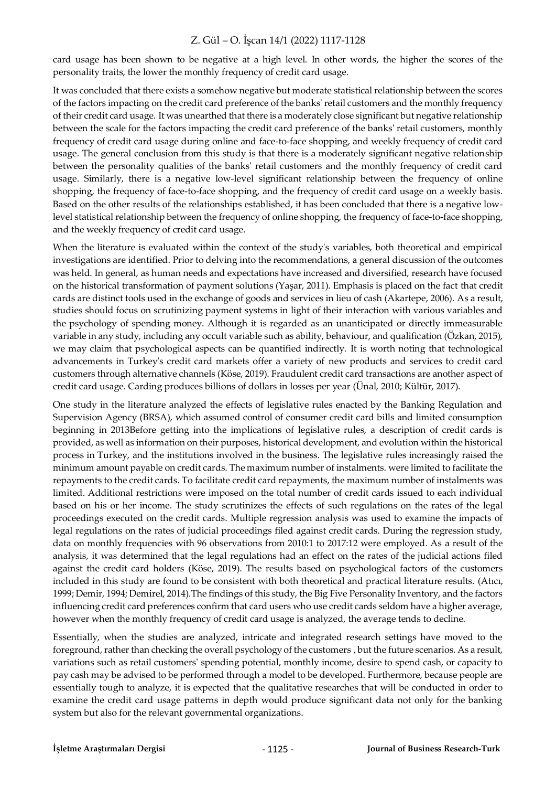card usage has been shown to be negative at a high level. In other words, the higher the scores of the personality traits, the lower the monthly frequency of credit card usage.

It was concluded that there exists a somehow negative but moderate statistical relationship between the scores of the factors impacting on the credit card preference of the banks' retail customers and the monthly frequency of their credit card usage. It was unearthed that there is a moderately close significant but negative relationship between the scale for the factors impacting the credit card preference of the banks' retail customers, monthly frequency of credit card usage during online and face-to-face shopping, and weekly frequency of credit card usage. The general conclusion from this study is that there is a moderately significant negative relationship between the personality qualities of the banks' retail customers and the monthly frequency of credit card usage. Similarly, there is a negative low-level significant relationship between the frequency of online shopping, the frequency of face-to-face shopping, and the frequency of credit card usage on a weekly basis. Based on the other results of the relationships established, it has been concluded that there is a negative lowlevel statistical relationship between the frequency of online shopping, the frequency of face-to-face shopping, and the weekly frequency of credit card usage.

When the literature is evaluated within the context of the study's variables, both theoretical and empirical investigations are identified. Prior to delving into the recommendations, a general discussion of the outcomes was held. In general, as human needs and expectations have increased and diversified, research have focused on the historical transformation of payment solutions (Yaşar, 2011). Emphasis is placed on the fact that credit cards are distinct tools used in the exchange of goods and services in lieu of cash (Akartepe, 2006). As a result, studies should focus on scrutinizing payment systems in light of their interaction with various variables and the psychology of spending money. Although it is regarded as an unanticipated or directly immeasurable variable in any study, including any occult variable such as ability, behaviour, and qualification (Özkan, 2015), we may claim that psychological aspects can be quantified indirectly. It is worth noting that technological advancements in Turkey's credit card markets offer a variety of new products and services to credit card customers through alternative channels (Köse, 2019). Fraudulent credit card transactions are another aspect of credit card usage. Carding produces billions of dollars in losses per year (Ünal, 2010; Kültür, 2017).

One study in the literature analyzed the effects of legislative rules enacted by the Banking Regulation and Supervision Agency (BRSA), which assumed control of consumer credit card bills and limited consumption beginning in 2013Before getting into the implications of legislative rules, a description of credit cards is provided, as well as information on their purposes, historical development, and evolution within the historical process in Turkey, and the institutions involved in the business. The legislative rules increasingly raised the minimum amount payable on credit cards. The maximum number of instalments. were limited to facilitate the repayments to the credit cards. To facilitate credit card repayments, the maximum number of instalments was limited. Additional restrictions were imposed on the total number of credit cards issued to each individual based on his or her income. The study scrutinizes the effects of such regulations on the rates of the legal proceedings executed on the credit cards. Multiple regression analysis was used to examine the impacts of legal regulations on the rates of judicial proceedings filed against credit cards. During the regression study, data on monthly frequencies with 96 observations from 2010:1 to 2017:12 were employed. As a result of the analysis, it was determined that the legal regulations had an effect on the rates of the judicial actions filed against the credit card holders (Köse, 2019). The results based on psychological factors of the customers included in this study are found to be consistent with both theoretical and practical literature results. (Atıcı, 1999; Demir, 1994; Demirel, 2014).The findings of this study, the Big Five Personality Inventory, and the factors influencing credit card preferences confirm that card users who use credit cards seldom have a higher average, however when the monthly frequency of credit card usage is analyzed, the average tends to decline.

Essentially, when the studies are analyzed, intricate and integrated research settings have moved to the foreground, rather than checking the overall psychology of the customers , but the future scenarios. As a result, variations such as retail customers' spending potential, monthly income, desire to spend cash, or capacity to pay cash may be advised to be performed through a model to be developed. Furthermore, because people are essentially tough to analyze, it is expected that the qualitative researches that will be conducted in order to examine the credit card usage patterns in depth would produce significant data not only for the banking system but also for the relevant governmental organizations.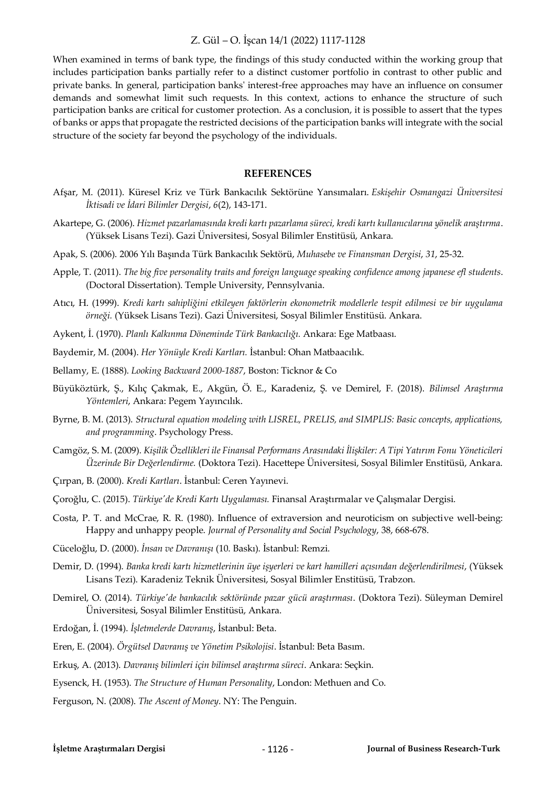When examined in terms of bank type, the findings of this study conducted within the working group that includes participation banks partially refer to a distinct customer portfolio in contrast to other public and private banks. In general, participation banks' interest-free approaches may have an influence on consumer demands and somewhat limit such requests. In this context, actions to enhance the structure of such participation banks are critical for customer protection. As a conclusion, it is possible to assert that the types of banks or apps that propagate the restricted decisions of the participation banks will integrate with the social structure of the society far beyond the psychology of the individuals.

#### **REFERENCES**

- Afşar, M. (2011). Küresel Kriz ve Türk Bankacılık Sektörüne Yansımaları. *Eskişehir Osmangazi Üniversitesi İktisadi ve İdari Bilimler Dergisi*, *6*(2), 143-171.
- Akartepe, G. (2006). *Hizmet pazarlamasında kredi kartı pazarlama süreci, kredi kartı kullanıcılarına yönelik araştırma*. (Yüksek Lisans Tezi). Gazi Üniversitesi, Sosyal Bilimler Enstitüsü, Ankara.
- Apak, S. (2006). 2006 Yılı Başında Türk Bankacılık Sektörü, *Muhasebe ve Finansman Dergisi*, *31*, 25-32.
- Apple, T. (2011). *The big five personality traits and foreign language speaking confidence among japanese efl students*. (Doctoral Dissertation). Temple University, Pennsylvania.
- Atıcı, H. (1999). *Kredi kartı sahipliğini etkileyen faktörlerin ekonometrik modellerle tespit edilmesi ve bir uygulama örneği.* (Yüksek Lisans Tezi). Gazi Üniversitesi, Sosyal Bilimler Enstitüsü. Ankara.
- Aykent, İ. (1970). *Planlı Kalkınma Döneminde Türk Bankacılığı.* Ankara: Ege Matbaası.
- Baydemir, M. (2004). *Her Yönüyle Kredi Kartları.* İstanbul: Ohan Matbaacılık.
- Bellamy, E. (1888). *Looking Backward 2000-1887*, Boston: Ticknor & Co
- Büyüköztürk, Ş., Kılıç Çakmak, E., Akgün, Ö. E., Karadeniz, Ş. ve Demirel, F. (2018). *Bilimsel Araştırma Yöntemleri*, Ankara: Pegem Yayıncılık.
- Byrne, B. M. (2013). *Structural equation modeling with LISREL, PRELIS, and SIMPLIS: Basic concepts, applications, and programming*. Psychology Press.
- Camgöz, S. M. (2009). *Kişilik Özellikleri ile Finansal Performans Arasındaki İlişkiler: A Tipi Yatırım Fonu Yöneticileri Üzerinde Bir Değerlendirme.* (Doktora Tezi). Hacettepe Üniversitesi, Sosyal Bilimler Enstitüsü, Ankara.
- Çırpan, B. (2000). *Kredi Kartları*. İstanbul: Ceren Yayınevi.
- Çoroğlu, C. (2015). *Türkiye'de Kredi Kartı Uygulaması.* Finansal Araştırmalar ve Çalışmalar Dergisi.
- Costa, P. T. and McCrae, R. R. (1980). Influence of extraversion and neuroticism on subjective well-being: Happy and unhappy people. *Journal of Personality and Social Psychology*, 38, 668-678.
- Cüceloğlu, D. (2000). *İnsan ve Davranışı* (10. Baskı). İstanbul: Remzi.
- Demir, D. (1994). *Banka kredi kartı hizmetlerinin üye işyerleri ve kart hamilleri açısından değerlendirilmesi*, (Yüksek Lisans Tezi). Karadeniz Teknik Üniversitesi, Sosyal Bilimler Enstitüsü, Trabzon.
- Demirel, O. (2014). *Türkiye'de bankacılık sektöründe pazar gücü araştırması*. (Doktora Tezi). Süleyman Demirel Üniversitesi, Sosyal Bilimler Enstitüsü, Ankara.
- Erdoğan, İ. (1994). *İşletmelerde Davranış*, İstanbul: Beta.
- Eren, E. (2004). *Örgütsel Davranış ve Yönetim Psikolojisi*. İstanbul: Beta Basım.
- Erkuş, A. (2013). *Davranış bilimleri için bilimsel araştırma süreci*. Ankara: Seçkin.
- Eysenck, H. (1953). *The Structure of Human Personality*, London: Methuen and Co.
- Ferguson, N. (2008). *The Ascent of Money*. NY: The Penguin.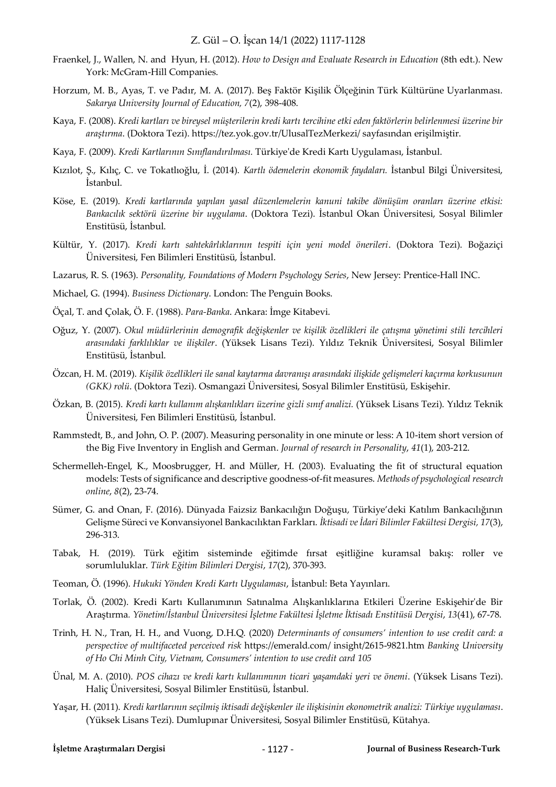- Fraenkel, J., Wallen, N. and Hyun, H. (2012). *How to Design and Evaluate Research in Education* (8th edt.). New York: McGram-Hill Companies.
- Horzum, M. B., Ayas, T. ve Padır, M. A. (2017). Beş Faktör Kişilik Ölçeğinin Türk Kültürüne Uyarlanması. *Sakarya University Journal of Education, 7*(2), 398-408.
- Kaya, F. (2008). *Kredi kartları ve bireysel müşterilerin kredi kartı tercihine etki eden faktörlerin belirlenmesi üzerine bir araştırma*. (Doktora Tezi). https://tez.yok.gov.tr/UlusalTezMerkezi/ sayfasından erişilmiştir.
- Kaya, F. (2009). *Kredi Kartlarının Sınıflandırılması.* Türkiye'de Kredi Kartı Uygulaması, İstanbul.
- Kızılot, Ş., Kılıç, C. ve Tokatlıoğlu, İ. (2014). *Kartlı ödemelerin ekonomik faydaları.* İstanbul Bilgi Üniversitesi, İstanbul.
- Köse, E. (2019). *Kredi kartlarında yapılan yasal düzenlemelerin kanuni takibe dönüşüm oranları üzerine etkisi: Bankacılık sektörü üzerine bir uygulama*. (Doktora Tezi). İstanbul Okan Üniversitesi, Sosyal Bilimler Enstitüsü, İstanbul.
- Kültür, Y. (2017). *Kredi kartı sahtekârlıklarının tespiti için yeni model önerileri*. (Doktora Tezi). Boğaziçi Üniversitesi, Fen Bilimleri Enstitüsü, İstanbul.
- Lazarus, R. S. (1963). *Personality, Foundations of Modern Psychology Series*, New Jersey: Prentice-Hall INC.
- Michael, G. (1994). *Business Dictionary*. London: The Penguin Books.
- Öçal, T. and Çolak, Ö. F. (1988). *Para-Banka*. Ankara: İmge Kitabevi.
- Oğuz, Y. (2007). *Okul müdürlerinin demografik değişkenler ve kişilik özellikleri ile çatışma yönetimi stili tercihleri arasındaki farklılıklar ve ilişkiler*. (Yüksek Lisans Tezi). Yıldız Teknik Üniversitesi, Sosyal Bilimler Enstitüsü, İstanbul.
- Özcan, H. M. (2019). *Kişilik özellikleri ile sanal kaytarma davranışı arasındaki ilişkide gelişmeleri kaçırma korkusunun (GKK) rolü*. (Doktora Tezi). Osmangazi Üniversitesi, Sosyal Bilimler Enstitüsü, Eskişehir.
- Özkan, B. (2015). *Kredi kartı kullanım alışkanlıkları üzerine gizli sınıf analizi.* (Yüksek Lisans Tezi). Yıldız Teknik Üniversitesi, Fen Bilimleri Enstitüsü, İstanbul.
- Rammstedt, B., and John, O. P. (2007). Measuring personality in one minute or less: A 10-item short version of the Big Five Inventory in English and German. *Journal of research in Personality*, *41*(1), 203-212.
- Schermelleh-Engel, K., Moosbrugger, H. and Müller, H. (2003). Evaluating the fit of structural equation models: Tests of significance and descriptive goodness-of-fit measures. *Methods of psychological research online*, *8*(2), 23-74.
- Sümer, G. and Onan, F. (2016). Dünyada Faizsiz Bankacılığın Doğuşu, Türkiye'deki Katılım Bankacılığının Gelişme Süreci ve Konvansiyonel Bankacılıktan Farkları. *İktisadi ve İdari Bilimler Fakültesi Dergisi, 17*(3), 296-313.
- Tabak, H. (2019). Türk eğitim sisteminde eğitimde fırsat eşitliğine kuramsal bakış: roller ve sorumluluklar. *Türk Eğitim Bilimleri Dergisi*, *17*(2), 370-393.
- Teoman, Ö. (1996). *Hukuki Yönden Kredi Kartı Uygulaması*, İstanbul: Beta Yayınları.
- Torlak, Ö. (2002). Kredi Kartı Kullanımının Satınalma Alışkanlıklarına Etkileri Üzerine Eskişehir'de Bir Araştırma*. Yönetim/İstanbul Üniversitesi İşletme Fakültesi İşletme İktisadı Enstitüsü Dergisi*, *13*(41), 67-78.
- Trinh, H. N., Tran, H. H., and Vuong, D.H.Q. (2020) *Determinants of consumers' intention to use credit card: a perspective of multifaceted perceived risk* https://emerald.com/ insight/2615-9821.htm *Banking University of Ho Chi Minh City, Vietnam, Consumers' intention to use credit card 105*
- Ünal, M. A. (2010). *POS cihazı ve kredi kartı kullanımının ticari yaşamdaki yeri ve önemi*. (Yüksek Lisans Tezi). Haliç Üniversitesi, Sosyal Bilimler Enstitüsü, İstanbul.
- Yaşar, H. (2011). *Kredi kartlarının seçilmiş iktisadi değişkenler ile ilişkisinin ekonometrik analizi: Türkiye uygulaması*. (Yüksek Lisans Tezi). Dumlupınar Üniversitesi, Sosyal Bilimler Enstitüsü, Kütahya.